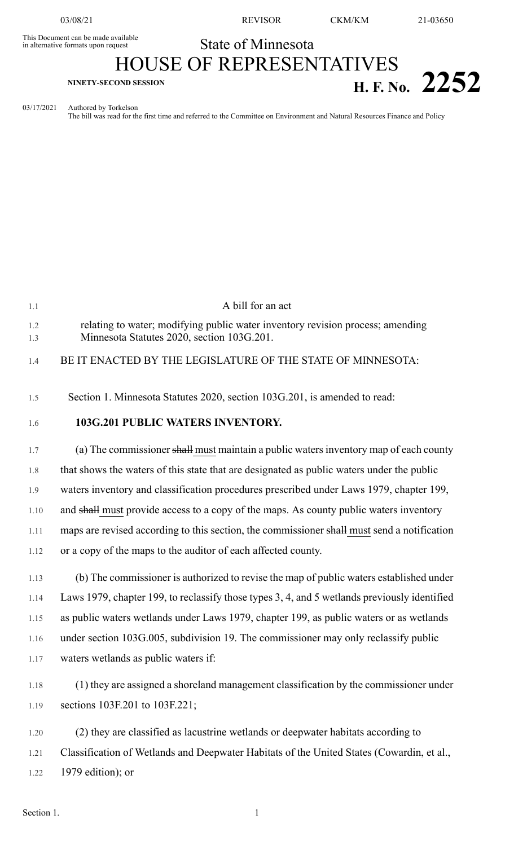This Document can be made available<br>in alternative formats upon request

03/08/21 REVISOR CKM/KM 21-03650

## State of Minnesota HOUSE OF REPRESENTATIVES **H. F. NO.** 2252

03/17/2021 Authored by Torkelson The bill was read for the first time and referred to the Committee on Environment and Natural Resources Finance and Policy

| 1.1        | A bill for an act                                                                                                            |
|------------|------------------------------------------------------------------------------------------------------------------------------|
| 1.2<br>1.3 | relating to water; modifying public water inventory revision process; amending<br>Minnesota Statutes 2020, section 103G.201. |
| 1.4        | BE IT ENACTED BY THE LEGISLATURE OF THE STATE OF MINNESOTA:                                                                  |
| 1.5        | Section 1. Minnesota Statutes 2020, section 103G.201, is amended to read:                                                    |
| 1.6        | 103G.201 PUBLIC WATERS INVENTORY.                                                                                            |
| 1.7        | (a) The commissioner shall must maintain a public waters inventory map of each county                                        |
| 1.8        | that shows the waters of this state that are designated as public waters under the public                                    |
| 1.9        | waters inventory and classification procedures prescribed under Laws 1979, chapter 199,                                      |
| 1.10       | and shall must provide access to a copy of the maps. As county public waters inventory                                       |
| 1.11       | maps are revised according to this section, the commissioner shall must send a notification                                  |
| 1.12       | or a copy of the maps to the auditor of each affected county.                                                                |
| 1.13       | (b) The commissioner is authorized to revise the map of public waters established under                                      |
| 1.14       | Laws 1979, chapter 199, to reclassify those types 3, 4, and 5 wetlands previously identified                                 |
| 1.15       | as public waters wetlands under Laws 1979, chapter 199, as public waters or as wetlands                                      |
| 1.16       | under section 103G.005, subdivision 19. The commissioner may only reclassify public                                          |
| 1.17       | waters wetlands as public waters if:                                                                                         |
| 1.18       | (1) they are assigned a shoreland management classification by the commissioner under                                        |
| 1.19       | sections 103F.201 to 103F.221;                                                                                               |
| 1.20       | (2) they are classified as lacustrine wetlands or deepwater habitats according to                                            |
| 1.21       | Classification of Wetlands and Deepwater Habitats of the United States (Cowardin, et al.,                                    |
| 1.22       | 1979 edition); or                                                                                                            |
|            |                                                                                                                              |